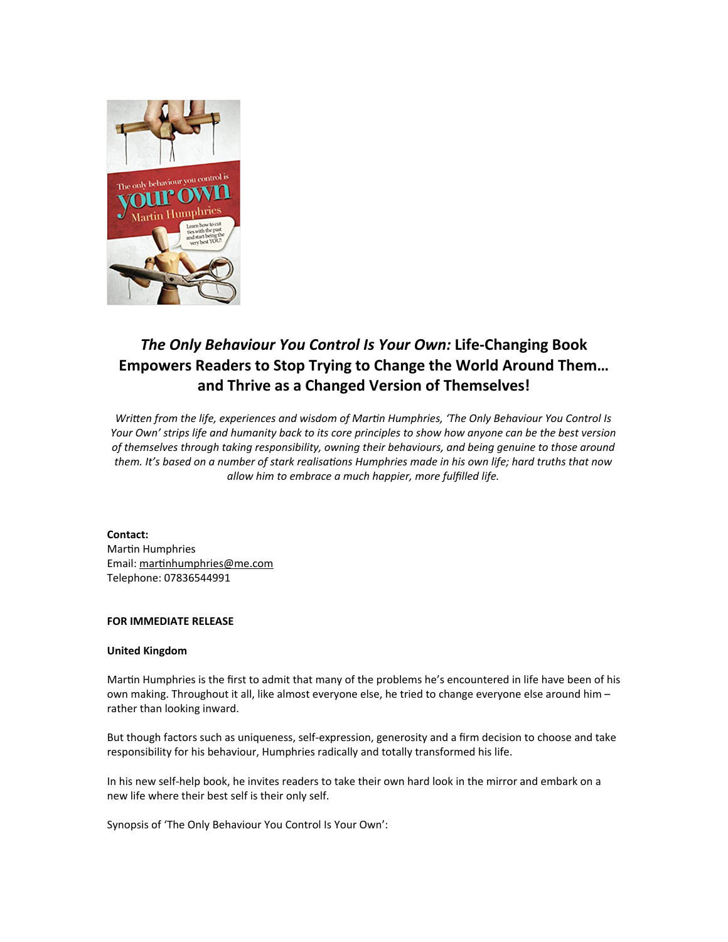

# *The Only Behaviour You Control Is Your Own:* **Life-Changing Book Empowers Readers to Stop Trying to Change the World Around Them… and Thrive as a Changed Version of Themselves!**

*Written from the life, experiences and wisdom of Martin Humphries, 'The Only Behaviour You Control Is Your Own' strips life and humanity back to its core principles to show how anyone can be the best version of themselves through taking responsibility, owning their behaviours, and being genuine to those around* them. It's based on a number of stark realisations Humphries made in his own life; hard truths that now *allow him to embrace a much happier, more fulfilled life.*

#### **Contact:**

Martin Humphries Email: martinhumphries@me.com Telephone: 07836544991

## **FOR IMMEDIATE RELEASE**

#### **United Kingdom**

Martin Humphries is the first to admit that many of the problems he's encountered in life have been of his own making. Throughout it all, like almost everyone else, he tried to change everyone else around him – rather than looking inward.

But though factors such as uniqueness, self-expression, generosity and a firm decision to choose and take responsibility for his behaviour, Humphries radically and totally transformed his life.

In his new self-help book, he invites readers to take their own hard look in the mirror and embark on a new life where their best self is their only self.

Synopsis of 'The Only Behaviour You Control Is Your Own':